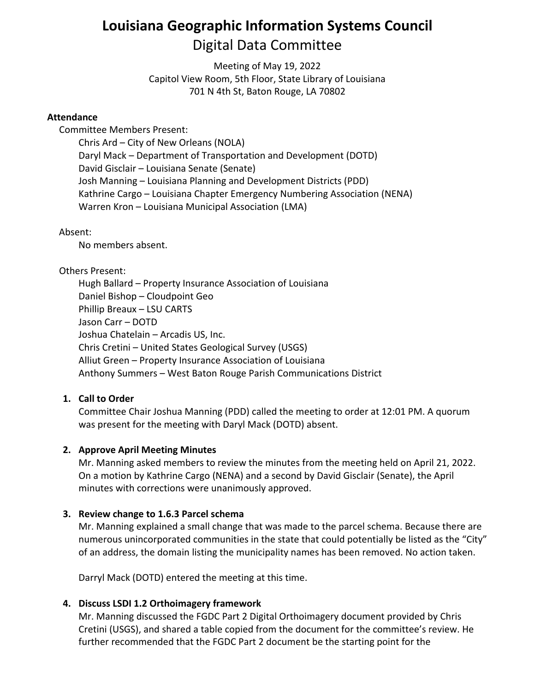# **Louisiana Geographic Information Systems Council** Digital Data Committee

Meeting of May 19, 2022 Capitol View Room, 5th Floor, State Library of Louisiana 701 N 4th St, Baton Rouge, LA 70802

#### **Attendance**

Committee Members Present:

Chris Ard – City of New Orleans (NOLA) Daryl Mack – Department of Transportation and Development (DOTD) David Gisclair – Louisiana Senate (Senate) Josh Manning – Louisiana Planning and Development Districts (PDD) Kathrine Cargo – Louisiana Chapter Emergency Numbering Association (NENA) Warren Kron – Louisiana Municipal Association (LMA)

#### Absent:

No members absent.

#### Others Present:

Hugh Ballard – Property Insurance Association of Louisiana Daniel Bishop – Cloudpoint Geo Phillip Breaux – LSU CARTS Jason Carr – DOTD Joshua Chatelain – Arcadis US, Inc. Chris Cretini – United States Geological Survey (USGS) Alliut Green – Property Insurance Association of Louisiana Anthony Summers – West Baton Rouge Parish Communications District

## **1. Call to Order**

Committee Chair Joshua Manning (PDD) called the meeting to order at 12:01 PM. A quorum was present for the meeting with Daryl Mack (DOTD) absent.

## **2. Approve April Meeting Minutes**

Mr. Manning asked members to review the minutes from the meeting held on April 21, 2022. On a motion by Kathrine Cargo (NENA) and a second by David Gisclair (Senate), the April minutes with corrections were unanimously approved.

## **3. Review change to 1.6.3 Parcel schema**

Mr. Manning explained a small change that was made to the parcel schema. Because there are numerous unincorporated communities in the state that could potentially be listed as the "City" of an address, the domain listing the municipality names has been removed. No action taken.

Darryl Mack (DOTD) entered the meeting at this time.

## **4. Discuss LSDI 1.2 Orthoimagery framework**

Mr. Manning discussed the FGDC Part 2 Digital Orthoimagery document provided by Chris Cretini (USGS), and shared a table copied from the document for the committee's review. He further recommended that the FGDC Part 2 document be the starting point for the